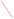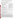The information presented here reflects EPA's modeling of the Clear Skies Act of 2002. The Agency is in the process of updating this information to reflect modifications included in the Clear Skies Act of 2003. The revised information will be posted on the Agency's Clear Skies Web site (www.epa.gov/clearskies) as soon as possible.

## **CLEAR SKIES IN LOUISIANA<sup>1</sup>**

**Human Health and Environmental Benefits of Clear Skies:** Clear Skies would protect human health, improve air quality, and reduce deposition of sulfur dioxide  $(SO<sub>2</sub>)$ , nitrogen oxides  $(NO<sub>x</sub>)$ , and mercury.<sup>2</sup>

- Beginning in 2020, over \$1 billion of the annual benefits of Clear Skies would occur in Louisiana. Every year, these would include: **Clear Skies Benefits Nationwide**
	- $\geq$  approximately 200 fewer premature deaths;
	- $\rightarrow$  over 100 fewer cases of chronic bronchitis;  $\parallel$  **•** In 2020, annual health benefits from
	- $\rightarrow$  over 7,000 fewer days with asthma attacks  $\parallel$  reductions in ozone and fine particles
	- approximately 200 fewer hospitalizations and emergency  $\parallel$  would total \$93 billion, including 12,000 room visits; for the state of the state of the state of the state of the state of the state of the state of the state of the state of the state of the state of the state of the state of the state of the state of the state
	- over 32,000 fewer days of work lost due to respiratory  $\|\cdot\|$  the \$6.49 billion cost of the Clear Skies symptoms; and program.
	- approximately 250,000 fewer total days with respiratory-<br>related symptoms.<br>in over 7.000 premature deaths
- Currently, all parishes in Louisiana are expected to meet the  $\frac{2020}{\text{normal}}$  annual fine particle standard; 10 parishes are not expected to program.<sup>3</sup> annual fine particle standard; 10 parishes are not expected to meet the 8-hour ozone standard.
	- � However, based on initial modeling, 3 parishes are projected to exceed the annual fine particle standard by 2020 under the existing Clean Air Act.<sup>4</sup>

- 
- in over 7,000 premature deaths. prevented and \$11 billion in benefits by
- Clear Skies would provide an additional \$3 billion in benefits due to improved visibility in National Parks and wilderness areas in 2020.
- By 2010, based on initial modeling, Clear Skies would bring Iberville Parish (population approximately 35,000) into attainment with the annual fine particle standard.
- By 2020, based on initial modeling, Clear Skies would:
	- $\rightarrow$  bring West Baton Rouge Parish (population over 20,000) into attainment with the annual fine particle standard; and
	- reverse the projected increase in fine particle and ozone concentrations in East Baton Rouge Parish under the existing Clean Air Act.
- All other parishes in Louisiana are expected to come into attainment with the 8-hour ozone standard under the existing Clean Air Act by 2010. Clear Skies would, however, achieve additional reductions in ozone in those counties that would further protect human health.
- Clear Skies delivers numerous environmental benefits by 2020:
	- $\rightarrow$  visibility would improve 1-2 deciviews in northern areas of the state and along significant portions of the coast (a change of 1 deciview is a perceptible change in visibility);
	- $\rightarrow$  sulfur deposition would decrease 15-30% throughout northern, central, and coastal areas, and by up to 15% throughout the rest of the state; and
	- $\rightarrow$  nitrogen deposition, which contributes to coastal eutrophication, would be reduced by up to 15%.

<sup>&</sup>lt;sup>1</sup> The projected impacts are the results of extensive emissions and regional air quality modeling and benefits analyses as summarized in the *Technical Addendum: Methodologies for Benefit Analysis of the Clear Skies Initiative, 2002*. While the policy analyses tools EPA used are among the best available, all such national scale policy assessments are subject to a number of uncertainties, particularly when projecting air quality or environmental impacts in particular locations.

 $2$  All human health and environmental benefits are calculated in comparison to existing Clean Air Act programs.

<sup>&</sup>lt;sup>3</sup> The two sets of estimates reflect alternative assumptions and analytical approaches regarding quantifying and evaluating the effects of airborne particles on public health. All estimates assume that particles are causally associated with health effects, and that all components have the same toxicity. Linear concentration-response relationships between PM and all health effects are assumed, indicating that reductions in PM have the same impact on health outcomes regardless of the absolute level of PM in a given location. The base estimate relies on estimates of the potential cumulative effect of long-term exposure to particles, while the alternative estimate presumes that PM effects are limited to those that accumulate over much shorter time periods. All such estimates are subject to a number of assumptions and uncertainties. It is of note that, based on recent preliminary findings from the Health Effects Institute, the magnitude of mortality from short-term exposure (alternative estimates) and hospital/ER admissions estimates (both estimates) may be overstated. The alternatives also use different approaches to value health effects damages. The key assumptions, uncertainties, and valuation methodologies underlying the approaches used to produce these

To permit comparisons among various analyses, the air quality data used in this analysis was fixed as the most complete and recently available as of mid-2001 (1997-1999 ozone monitoring data and 1999-2000 PM2.5 data). More complete and more recent air quality data for ozone and fine particles (1999-2001 data) indicates some differences in the likely attainment status of some counties. Future analyses of Clear Skies will incorporate the most recent data available.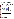**Changes in Emissions Under Clear Skies:** Clear Skies is projected to result in significant emissions reductions from power generators by 2020.

- In Louisiana, Clear Skies is projected to significantly reduce emissions from power generators by 2020 (relative to 2000 emissions):
	- $SO<sub>2</sub>$  emissions would be reduced by 20%;
	- $NO<sub>x</sub>$  emissions would be reduced by 78%; and
	- � mercury emissions would be reduced by 20%.

## **Nationwide Emissions under Clear Skies in 2020**

- $SO<sub>2</sub>$  emissions from power generators are projected to be 3.9 million tons (a 65% reduction from 2000 levels).
- $NO<sub>x</sub>$  emissions are projected to be 1.7 million tons (a 67% reduction from 2000 levels).
- Mercury emissions are projected to be 18 tons (a 63% reduction from 2000 levels).
- At full implementation, the emission reductions would be 73% for  $SO<sub>2</sub>$ , 67% for NO<sub>x</sub>, and 69% for mercury.

*Figures 1a, 1b and 1c. Existing Clean Air Act Regulations (base case5 ) vs. Clear Skies in Louisiana in 2010 and 2020*



• Emissions rates in Louisiana in 2010 and 2020:

*Table 1. Projected Emissions Rates in 2010 and 2020 in Louisiana From Power Generators*

| Year |             | SO <sub>2</sub> | NO <sub>x</sub> |           |           | Нg       |
|------|-------------|-----------------|-----------------|-----------|-----------|----------|
|      |             | Coal            | Αll             | Coal      | Gas       | Coal     |
|      |             | lbs/MMBtu       | lbs/MMBtu       | lbs/MMBtu | lbs/MMBtu | lbs/TBtu |
| 2010 | Base Case   | 0.89            | 0.28            | 0.35      | 0.17      | 5.11     |
|      | Clear Skies | 0.89            | 0.19            | 0.27      | 0.09      | 4.11     |
| 2020 | Base Case   | 0.89            | 0.26            | 0.35      | 0.13      | 4.92     |
|      | Clear Skies | 0.73            | 0.09            | 0.10      | 0.07      | 3.32     |

**Costs:** Nationwide, the projected annual costs of Clear Skies (in \$1999) are \$3.69 billion in 2010 and \$6.49 billion in 2020.

<sup>-&</sup>lt;br>5 The base case includes Title IV, the NO<sub>x</sub> SIP call and State-specific caps in CT, MO and TX. It does not include mercury MACT in 2008 or any other potential future regulations to implement the current Clean Air Act.

<sup>6</sup> EPA uses the Integrated Planning Model (IPM) to project the economic impact of Clear Skies on the power generation sector. IPM disaggregates the power generation sector into specific regions based on properties of the electric transmission system, power market fundamentals, and regional environmental regulations. These regions do not conform to State or EPA region boundaries making some compliance options, such as dispatch, and associated costs impractical to differentiate at a State or Regional level.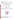**Changes in Projected Retail Electricity Prices Under Clear Skies**: Electricity prices in Louisiana would not be significantly affected by Clear Skies.

In 1999, the average retail electricity price in Louisiana was approximately 5.81 cents/kWh, which was less than the average *national* retail price of approximately 6.66 cents/kWh.<sup>7</sup> As shown in Figure 3, retail prices in SERC (the North American Electric Reliability Council (NERC) region that contains Louisiana<sup>8</sup>) are projected to decrease and remain below the national average between 2005 and 2020. $^{\circ}$ 



**Generation in Louisiana Under Clear Skies**: Coal-fired power plants currently produce 24% of the electricity generated in Louisiana. This contribution of coal-fired generation would increase in Louisiana under Clear Skies to approximately 34% by 2010, and 29% by 2020.





Source: 1999 EIA data at http://www.eia.doe.gov/cneaf/electricity/page/fact\_sheets/retailprice.html

<sup>&</sup>lt;sup>8</sup> Louisiana falls under NERC regions SERC and SPP. The region shown in the graph represents the larger capacity share of the state.<br><sup>9</sup> State lavel rateil electricity prices vary considerably across the United States. Ve

State-level retail electricity prices vary considerably across the United States. Variation in prices can be caused by many factors including access to low cost fuels for generating power, State taxes, and the mix of power plants in the States.

<sup>10</sup>Source: 1999 data from EIA at http://www.eia.doe.gov/cneaf/electricity/st\_profiles/louisiana/la.html#t5 (Table 5).